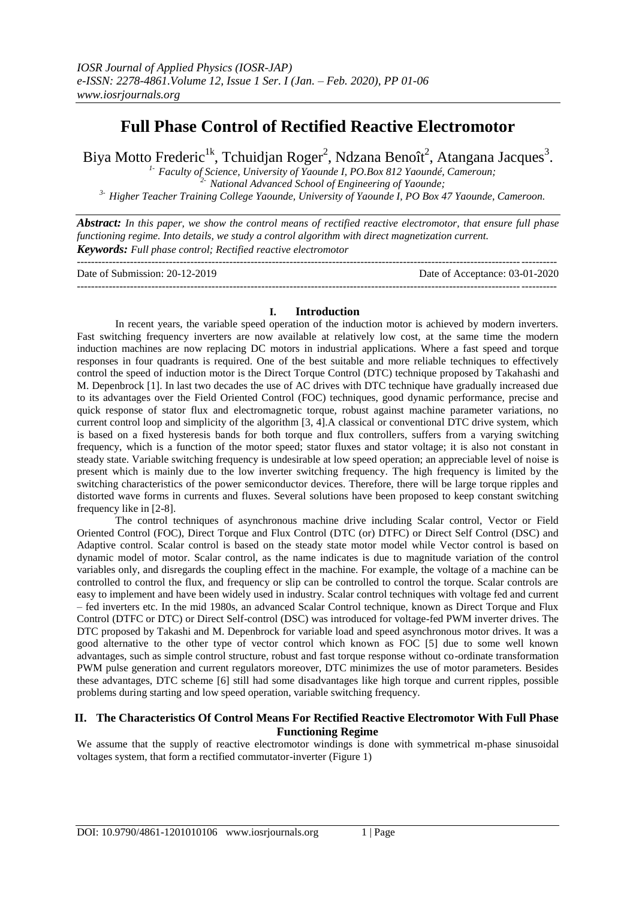# **Full Phase Control of Rectified Reactive Electromotor**

Biya Motto Frederic<sup>1k</sup>, Tchuidjan Roger<sup>2</sup>, Ndzana Benoît<sup>2</sup>, Atangana Jacques<sup>3</sup>.

*1- Faculty of Science, University of Yaounde I, PO.Box 812 Yaoundé, Cameroun; 2- National Advanced School of Engineering of Yaounde; 3- Higher Teacher Training College Yaounde, University of Yaounde I, PO Box 47 Yaounde, Cameroon.*

*Abstract: In this paper, we show the control means of rectified reactive electromotor, that ensure full phase functioning regime. Into details, we study a control algorithm with direct magnetization current. Keywords: Full phase control; Rectified reactive electromotor*

| Date of Submission: 20-12-2019 | Date of Acceptance: 03-01-2020 |
|--------------------------------|--------------------------------|
|                                |                                |

# **I. Introduction**

In recent years, the variable speed operation of the induction motor is achieved by modern inverters. Fast switching frequency inverters are now available at relatively low cost, at the same time the modern induction machines are now replacing DC motors in industrial applications. Where a fast speed and torque responses in four quadrants is required. One of the best suitable and more reliable techniques to effectively control the speed of induction motor is the Direct Torque Control (DTC) technique proposed by Takahashi and M. Depenbrock [1]. In last two decades the use of AC drives with DTC technique have gradually increased due to its advantages over the Field Oriented Control (FOC) techniques, good dynamic performance, precise and quick response of stator flux and electromagnetic torque, robust against machine parameter variations, no current control loop and simplicity of the algorithm [3, 4].A classical or conventional DTC drive system, which is based on a fixed hysteresis bands for both torque and flux controllers, suffers from a varying switching frequency, which is a function of the motor speed; stator fluxes and stator voltage; it is also not constant in steady state. Variable switching frequency is undesirable at low speed operation; an appreciable level of noise is present which is mainly due to the low inverter switching frequency. The high frequency is limited by the switching characteristics of the power semiconductor devices. Therefore, there will be large torque ripples and distorted wave forms in currents and fluxes. Several solutions have been proposed to keep constant switching frequency like in [2-8].

The control techniques of asynchronous machine drive including Scalar control, Vector or Field Oriented Control (FOC), Direct Torque and Flux Control (DTC (or) DTFC) or Direct Self Control (DSC) and Adaptive control. Scalar control is based on the steady state motor model while Vector control is based on dynamic model of motor. Scalar control, as the name indicates is due to magnitude variation of the control variables only, and disregards the coupling effect in the machine. For example, the voltage of a machine can be controlled to control the flux, and frequency or slip can be controlled to control the torque. Scalar controls are easy to implement and have been widely used in industry. Scalar control techniques with voltage fed and current – fed inverters etc. In the mid 1980s, an advanced Scalar Control technique, known as Direct Torque and Flux Control (DTFC or DTC) or Direct Self-control (DSC) was introduced for voltage-fed PWM inverter drives. The DTC proposed by Takashi and M. Depenbrock for variable load and speed asynchronous motor drives. It was a good alternative to the other type of vector control which known as FOC [5] due to some well known advantages, such as simple control structure, robust and fast torque response without co-ordinate transformation PWM pulse generation and current regulators moreover, DTC minimizes the use of motor parameters. Besides these advantages, DTC scheme [6] still had some disadvantages like high torque and current ripples, possible problems during starting and low speed operation, variable switching frequency.

# **II. The Characteristics Of Control Means For Rectified Reactive Electromotor With Full Phase Functioning Regime**

We assume that the supply of reactive electromotor windings is done with symmetrical m-phase sinusoidal voltages system, that form a rectified commutator-inverter (Figure 1)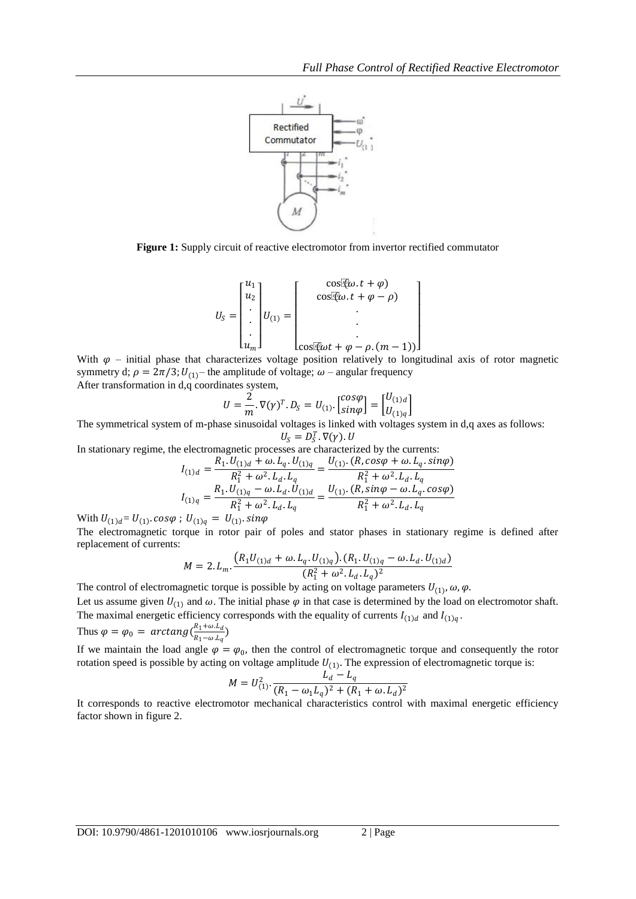

**Figure 1:** Supply circuit of reactive electromotor from invertor rectified commutator

$$
U_S = \begin{bmatrix} u_1 \\ u_2 \\ \vdots \\ u_m \end{bmatrix} U_{(1)} = \begin{bmatrix} \cos(\tilde{q}\omega \cdot t + \varphi) \\ \cos(\tilde{q}\omega \cdot t + \varphi - \rho) \\ \vdots \\ \cos(\tilde{q}\omega t + \varphi - \rho \cdot (m-1)) \end{bmatrix}
$$

With  $\varphi$  – initial phase that characterizes voltage position relatively to longitudinal axis of rotor magnetic symmetry d;  $\rho = 2\pi/3$ ;  $U_{(1)}$  – the amplitude of voltage;  $\omega$  – angular frequency After transformation in d,q coordinates system,

$$
U = \frac{2}{m} \cdot \nabla(\gamma)^T \cdot D_S = U_{(1)} \cdot \begin{bmatrix} \cos \varphi \\ \sin \varphi \end{bmatrix} = \begin{bmatrix} U_{(1)d} \\ U_{(1)q} \end{bmatrix}
$$

The symmetrical system of m-phase sinusoidal voltages is linked with voltages system in d,q axes as follows:

 $U_{\mathcal{S}} = D_{\mathcal{S}}^T \cdot \nabla(\gamma) \cdot U$ In stationary regime, the electromagnetic processes are characterized by the currents:

$$
R_1 U_{(1)d} + \omega L_q U_{(1)q} U_{(1)}
$$
. (R, cos $\varphi$  +  $\omega L_q$ .  $sin\varphi$ )

$$
I_{(1)q} = \frac{R_1 \cdot U_{(1)q} + \omega^2 L_d \cdot L_q}{R_1^2 + \omega^2 L_d \cdot L_q} = \frac{V_{(1) \cdot (1)q} + \omega^2 L_d \cdot L_q}{R_1^2 + \omega^2 L_d \cdot L_q}
$$

$$
I_{(1)q} = \frac{R_1 \cdot U_{(1)q} - \omega \cdot L_d \cdot U_{(1)d}}{R_1^2 + \omega^2 \cdot L_d \cdot L_q} = \frac{U_{(1) \cdot (R, \sin \varphi - \omega \cdot L_q \cdot \cos \varphi)}}{R_1^2 + \omega^2 \cdot L_d \cdot L_q}
$$

With  $U_{(1)d} = U_{(1)}$ .  $cos\varphi$ ;  $U_{(1)q} = U_{(1)}$ .  $sin\varphi$ 

The electromagnetic torque in rotor pair of poles and stator phases in stationary regime is defined after replacement of currents:

$$
M = 2. L_m \cdot \frac{\left(R_1 U_{(1)d} + \omega. L_q. U_{(1)q}\right) \cdot \left(R_1. U_{(1)q} - \omega. L_d. U_{(1)d}\right)}{\left(R_1^2 + \omega^2. L_d. L_q\right)^2}
$$

The control of electromagnetic torque is possible by acting on voltage parameters  $U_{(1)}$ ,  $\omega$ ,  $\varphi$ .

Let us assume given  $U_{(1)}$  and  $\omega$ . The initial phase  $\varphi$  in that case is determined by the load on electromotor shaft. The maximal energetic efficiency corresponds with the equality of currents  $I_{(1)d}$  and  $I_{(1)q}$ .

Thus 
$$
\varphi = \varphi_0 = \arctan g \left( \frac{R_1 + \omega \cdot L_d}{R_1 - \omega \cdot L_q} \right)
$$

If we maintain the load angle  $\varphi = \varphi_0$ , then the control of electromagnetic torque and consequently the rotor rotation speed is possible by acting on voltage amplitude  $U_{(1)}$ . The expression of electromagnetic torque is:

$$
M = U_{(1)}^2 \cdot \frac{L_d - L_q}{(R_1 - \omega_1 L_q)^2 + (R_1 + \omega L_d)^2}
$$

It corresponds to reactive electromotor mechanical characteristics control with maximal energetic efficiency factor shown in figure 2.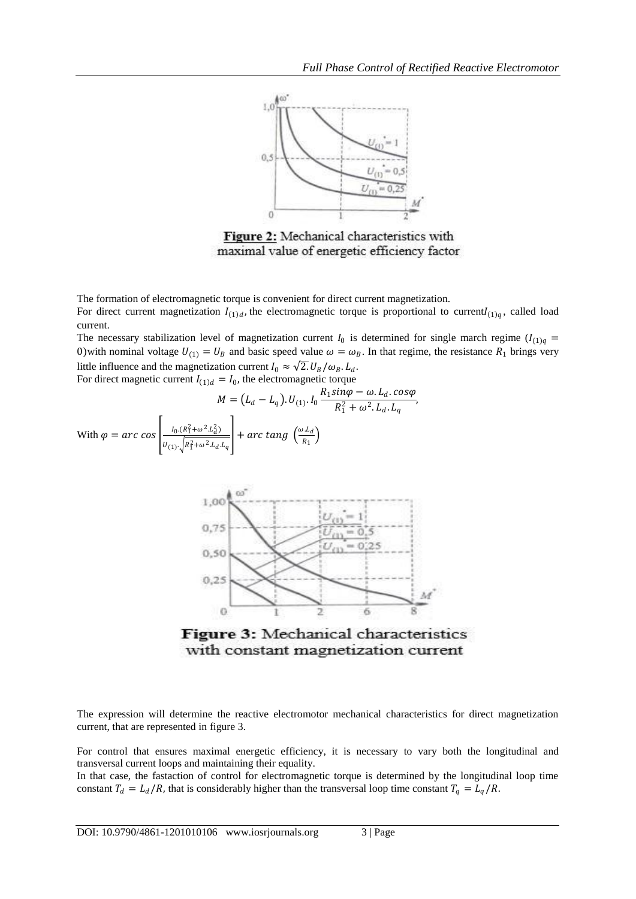

Figure 2: Mechanical characteristics with maximal value of energetic efficiency factor

The formation of electromagnetic torque is convenient for direct current magnetization.

For direct current magnetization  $I_{(1)d}$ , the electromagnetic torque is proportional to current $I_{(1)q}$ , called load current.

The necessary stabilization level of magnetization current  $I_0$  is determined for single march regime  $(I_{(1)q} =$ 0) with nominal voltage  $U_{(1)} = U_B$  and basic speed value  $\omega = \omega_B$ . In that regime, the resistance  $R_1$  brings very little influence and the magnetization current  $I_0 \approx \sqrt{2}$ .  $U_B/\omega_B$ .  $L_d$ .

For direct magnetic current  $I_{(1)d} = I_0$ , the electromagnetic torque

$$
M = (L_d - L_q). U_{(1)}. I_0 \frac{R_1 \sin \varphi - \omega. L_d. \cos \varphi}{R_1^2 + \omega^2. L_d. L_q},
$$
  
With  $\varphi = \arccos \left[ \frac{I_0 (R_1^2 + \omega^2. L_d^2)}{U_{(1)}. \sqrt{R_1^2 + \omega^2. L_d. L_q}} \right] + \arccan g \left( \frac{\omega. L_d}{R_1} \right)$ 



Figure 3: Mechanical characteristics with constant magnetization current

The expression will determine the reactive electromotor mechanical characteristics for direct magnetization current, that are represented in figure 3.

For control that ensures maximal energetic efficiency, it is necessary to vary both the longitudinal and transversal current loops and maintaining their equality.

In that case, the fastaction of control for electromagnetic torque is determined by the longitudinal loop time constant  $T_d = L_d/R$ , that is considerably higher than the transversal loop time constant  $T_q = L_q/R$ .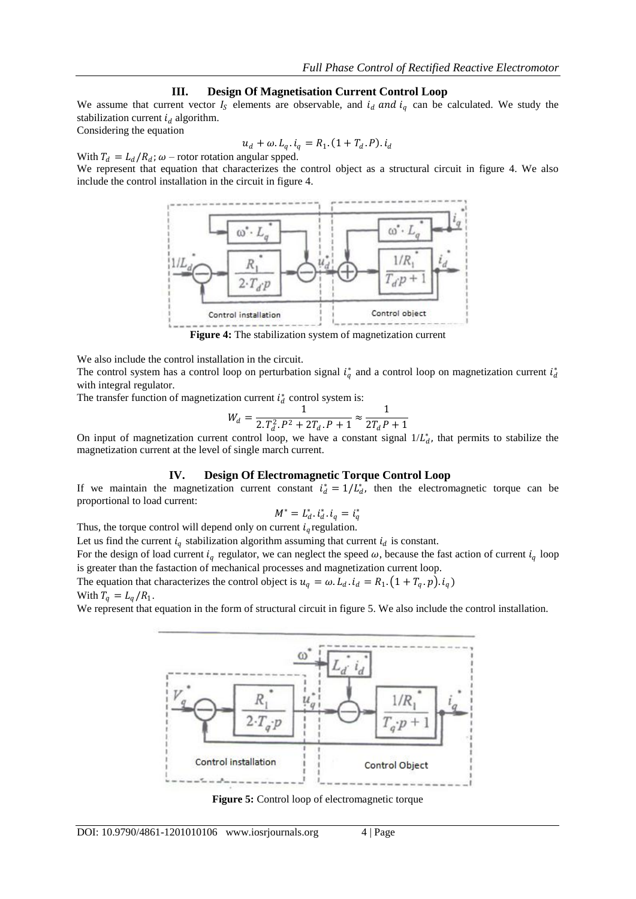#### **III. Design Of Magnetisation Current Control Loop**

We assume that current vector  $I_s$  elements are observable, and  $i_d$  and  $i_q$  can be calculated. We study the stabilization current  $i_d$  algorithm.

Considering the equation

$$
u_d + \omega. L_q. i_q = R_1. (1 + T_d. P). i_d
$$

With  $T_d = L_d / R_d$ ;  $\omega$  – rotor rotation angular spped.

We represent that equation that characterizes the control object as a structural circuit in figure 4. We also include the control installation in the circuit in figure 4.



**Figure 4:** The stabilization system of magnetization current

We also include the control installation in the circuit.

The control system has a control loop on perturbation signal  $i_q^*$  and a control loop on magnetization current  $i_d^*$ with integral regulator.

The transfer function of magnetization current  $i_d^*$  control system is:

$$
W_d = \frac{1}{2 \cdot T_d^2 \cdot P^2 + 2T_d \cdot P + 1} \approx \frac{1}{2T_d P + 1}
$$

On input of magnetization current control loop, we have a constant signal  $1/L_d^*$ , that permits to stabilize the magnetization current at the level of single march current.

#### **IV. Design Of Electromagnetic Torque Control Loop**

If we maintain the magnetization current constant  $i_d^* = 1/L_d^*$ , then the electromagnetic torque can be proportional to load current:

$$
M^* = L_d^* \cdot i_d^* \cdot i_q = i_q^*
$$

Thus, the torque control will depend only on current  $i_q$  regulation.

Let us find the current  $i_q$  stabilization algorithm assuming that current  $i_d$  is constant.

For the design of load current  $i_q$  regulator, we can neglect the speed  $\omega$ , because the fast action of current  $i_q$  loop is greater than the fastaction of mechanical processes and magnetization current loop.

The equation that characterizes the control object is  $u_q = \omega L_d$ .  $i_d = R_1$ .  $(1 + T_q \cdot p)$ .  $i_q$ ) With  $T_q = L_q/R_1$ .

We represent that equation in the form of structural circuit in figure 5. We also include the control installation.



**Figure 5:** Control loop of electromagnetic torque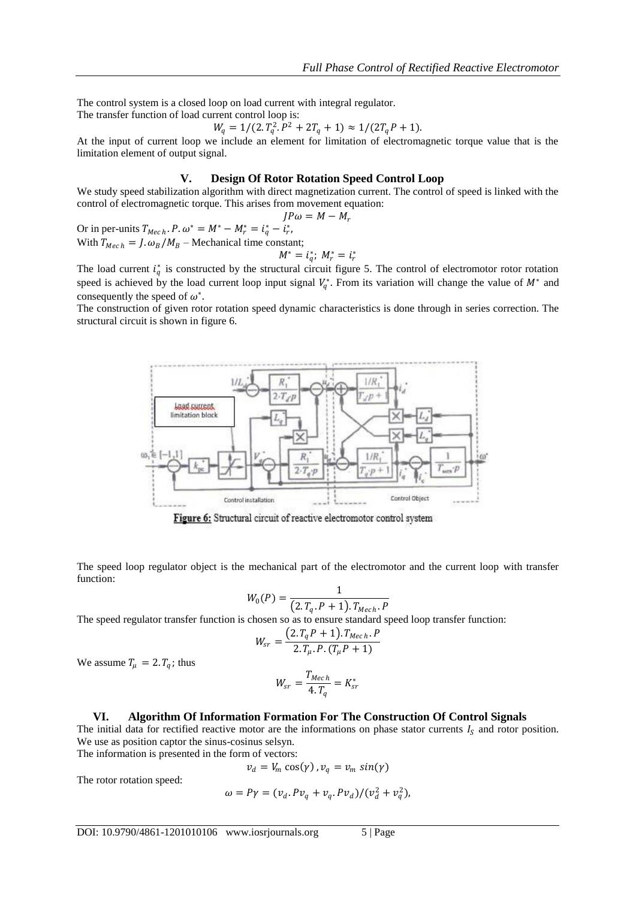The control system is a closed loop on load current with integral regulator.

The transfer function of load current control loop is:

$$
W_q = 1/(2 \cdot T_q^2 \cdot P^2 + 2T_q + 1) \approx 1/(2T_q P + 1).
$$

At the input of current loop we include an element for limitation of electromagnetic torque value that is the limitation element of output signal.

#### **V. Design Of Rotor Rotation Speed Control Loop**

We study speed stabilization algorithm with direct magnetization current. The control of speed is linked with the control of electromagnetic torque. This arises from movement equation:

$$
JP\omega = M - M_r
$$

Or in per-units  $T_{Mech}$ .  $P \cdot \omega^* = M^* - M_r^* = i_q^* - i_r^*$ , With  $T_{Mech} = I \cdot \omega_B / M_B$  – Mechanical time constant;

$$
M^* = i_q^*; M_r^* = i_r^*
$$

The load current  $i_q^*$  is constructed by the structural circuit figure 5. The control of electromotor rotor rotation speed is achieved by the load current loop input signal  $V_q^*$ . From its variation will change the value of  $M^*$  and consequently the speed of  $\omega^*$ .

The construction of given rotor rotation speed dynamic characteristics is done through in series correction. The structural circuit is shown in figure 6.



Figure 6: Structural circuit of reactive electromotor control system

The speed loop regulator object is the mechanical part of the electromotor and the current loop with transfer function:

$$
W_0(P) = \frac{1}{(2.T_q.P + 1).T_{Mech}.P}
$$

The speed regulator transfer function is chosen so as to ensure standard speed loop transfer function:

$$
W_{sr} = \frac{(2. T_q P + 1). T_{Mech}. P}{2. T_{\mu}. P. (T_{\mu} P + 1)}
$$

We assume  $T_{\mu} = 2. T_q$ ; thus

$$
W_{sr} = \frac{T_{Mech}}{4.T_q} = K_{sr}^*
$$

## **VI. Algorithm Of Information Formation For The Construction Of Control Signals**

The initial data for rectified reactive motor are the informations on phase stator currents  $I_s$  and rotor position. We use as position captor the sinus-cosinus selsyn.

The information is presented in the form of vectors:

The rotor rotation speed:

$$
\omega = P\gamma = (v_d \cdot P v_q + v_q \cdot P v_d) / (v_d^2 + v_q^2),
$$

 $v_d = V_m \cos(\gamma)$ ,  $v_q = v_m \sin(\gamma)$